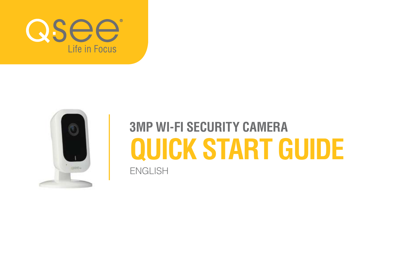



## **3MP WI-FI SECURITY CAMERA QUICK START GUIDE**

ENGLISH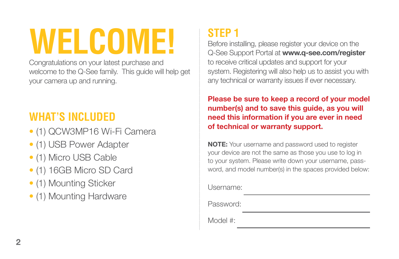**WELCOME!**

Congratulations on your latest purchase and welcome to the Q-See family. This guide will help get your camera up and running.

### **WHAT'S INCLUDED**

- (1) QCW3MP16 Wi-Fi Camera
- (1) USB Power Adapter
- (1) Micro USB Cable
- (1) 16GB Micro SD Card
- (1) Mounting Sticker
- (1) Mounting Hardware

## **STEP 1**

Before installing, please register your device on the Q-See Support Portal at **www.q-see.com/register** to receive critical updates and support for your system. Registering will also help us to assist you with any technical or warranty issues if ever necessary.

**Please be sure to keep a record of your model number(s) and to save this guide, as you will need this information if you are ever in need of technical or warranty support.**

**NOTE:** Your username and password used to register your device are not the same as those you use to log in to your system. Please write down your username, password, and model number(s) in the spaces provided below:

Username:

Password:

Model #: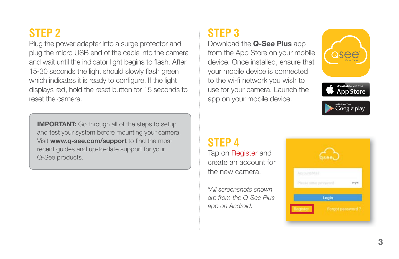### **STEP 2**

Plug the power adapter into a surge protector and plug the micro USB end of the cable into the camera and wait until the indicator light begins to flash. After 15-30 seconds the light should slowly flash green which indicates it is ready to configure. If the light displays red, hold the reset button for 15 seconds to reset the camera.

**IMPORTANT:** Go through all of the steps to setup and test your system before mounting your camera. Visit **www.a-see.com/support** to find the most recent guides and up-to-date support for your Q-See products.

## **STEP 3**

Download the **Q-See Plus** app from the App Store on your mobile device. Once installed, ensure that your mobile device is connected to the wi-fi network you wish to use for your camera. Launch the app on your mobile device.



## **STEP 4**

Tap on Register and create an account for the new camera.

*\*All screenshots shown are from the Q-See Plus app on Android.*

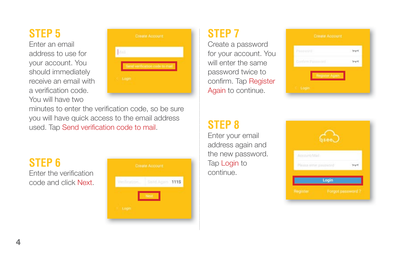### **STEP 5**

Enter an email address to use for your account. You should immediately receive an email with a verification code. You will have two



minutes to enter the verification code, so be sure you will have quick access to the email address used. Tap Send verification code to mail.

**STEP 6** Fnter the verification code and click Next.



### **STEP 7**

Create a password for your account. You will enter the same password twice to confirm. Tap Register Again to continue.

## **STEP 8**

Enter your email address again and the new password. Tap Login to continue.

| Printing of C     | $\rightarrow$ |
|-------------------|---------------|
| Comfirm Passworth |               |
| Register Again    |               |

| <b>Gsee</b>           |   |
|-----------------------|---|
|                       |   |
| Account/Mail          | ٠ |
| Please enter password |   |
|                       |   |
| Login                 |   |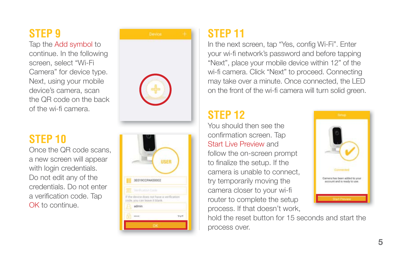### **STEP 9**

Tap the Add symbol to continue. In the following screen, select "Wi-Fi Camera" for device type. Next, using your mobile device's camera, scan the QR code on the back of the wi-fi camera



### **STEP 10**

Once the QR code scans, a new screen will appear with login credentials. Do not edit any of the credentials. Do not enter a verification code. Tap OK to continue.



## **STEP 11**

In the next screen, tap "Yes, config Wi-Fi". Enter your wi-fi network's password and before tapping "Next", place your mobile device within 12" of the wi-fi camera. Click "Next" to proceed. Connecting may take over a minute. Once connected, the LED on the front of the wi-fi camera will turn solid green.

### **STEP 12**

You should then see the confirmation screen. Tap Start Live Preview and follow the on-screen prompt to finalize the setup. If the camera is unable to connect, try temporarily moving the camera closer to your wi-fi router to complete the setup process. If that doesn't work.



hold the reset button for 15 seconds and start the process over.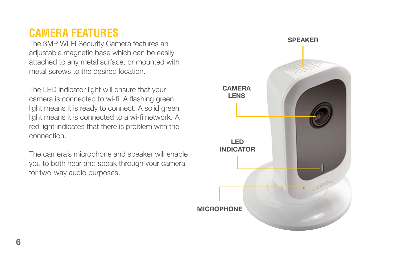### **CAMERA FEATURES**

The 3MP Wi-Fi Security Camera features an adjustable magnetic base which can be easily attached to any metal surface, or mounted with metal screws to the desired location.

The LED indicator light will ensure that your camera is connected to wi-fi. A flashing green light means it is ready to connect. A solid green light means it is connected to a wi-fi network. A red light indicates that there is problem with the connection.

The camera's microphone and speaker will enable you to both hear and speak through your camera for two-way audio purposes.

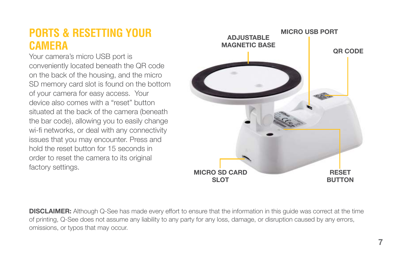### **PORTS & RESETTING YOUR CAMERA**

Your camera's micro USB port is conveniently located beneath the QR code on the back of the housing, and the micro SD memory card slot is found on the bottom of your camera for easy access. Your device also comes with a "reset" button situated at the back of the camera (beneath the bar code), allowing you to easily change wi-fi networks, or deal with any connectivity issues that you may encounter. Press and hold the reset button for 15 seconds in order to reset the camera to its original factory settings.



**DISCLAIMER:** Although Q-See has made every effort to ensure that the information in this quide was correct at the time of printing, Q-See does not assume any liability to any party for any loss, damage, or disruption caused by any errors, omissions, or typos that may occur.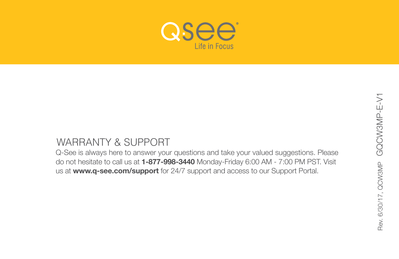

### WARRANTY & SUPPORT

Q-See is always here to answer your questions and take your valued suggestions. Please do not hesitate to call us at **1-877-998-3440** Monday-Friday 6:00 AM - 7:00 PM PST. Visit us at **www.q-see.com/support** for 24/7 support and access to our Support Portal.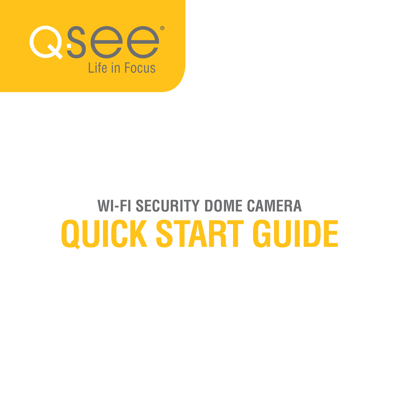

## **WI-FI SECURITY DOME CAMERA QUICK START GUIDE**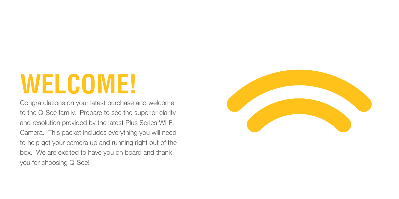# **WELCOME!**

Congratulations on your latest purchase and welcome to the Q-See family. Prepare to see the superior clarity and resolution provided by the latest Plus Series Wi-Fi Camera. This packet includes everything you will need to help get your camera up and running right out of the box. We are excited to have you on board and thank you for choosing Q-See!

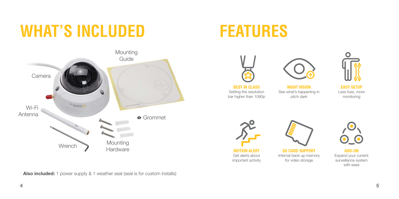## WHAT'S INCLUDED FEATURES



Also included: 1 power supply & 1 weather seal (seal is for custom installs)





**BEST IN CLASS** Setting the resolution bar higher than 1080p

**NIGHT VISION** See what's happening in pitch dark



**EASY SETUP** Less fuss, more monitoring



important activity

**SD CARD SUPPORT** Internal back up memory for video storage



**ADD-ON** Expand your current surveillance system with ease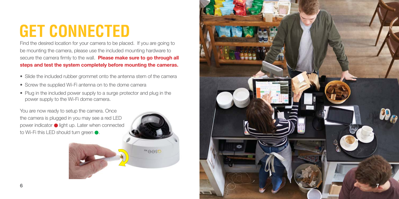## **GET CONNECTED**

Find the desired location for your camera to be placed. If you are going to be mounting the camera, please use the included mounting hardware to secure the camera firmly to the wall. **Please make sure to go through all steps and test the system completely before mounting the cameras.**

- Slide the included rubber grommet onto the antenna stem of the camera
- Screw the supplied Wi-Fi antenna on to the dome camera
- Plug in the included power supply to a surge protector and plug in the power supply to the Wi-Fi dome camera.

You are now ready to setup the camera. Once the camera is plugged in you may see a red LED power indicator  $\bigcirc$  light up. Later when connected to Wi-Fi this LED should turn green  $\bullet$ .



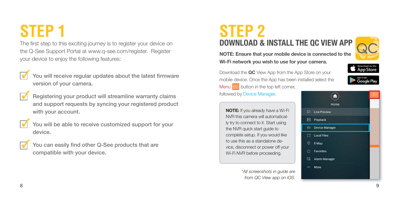the Q-See Support Portal at www.q-see.com/register. Register your device to enjoy the following features:



- You will receive regular updates about the latest firmware version of your camera.
- $\blacktriangledown$
- **Registering your product will streamline warranty claims and support requests by syncing your registered product**  with your account.



- You will be able to receive customized support for your device.
- You can easily find other Q-See products that are compatible with your device.  $\blacktriangledown$

## **STEP 1** STEP 2 The first step to this exciting journey is to register your device on **DOWNLOAD & INSTALL THE QC VIEW APP**

**NOTE: Ensure that your mobile device is connected to the Wi-Fi network you wish to use for your camera.**



Download the **QC** View App from the App Store on your mobile device. Once the App has been installed select the Menu $\mathbf{E}$  button in the top left corner,

followed by Device Manager.

**NOTE:** If you already have a Wi-Fi NVR this camera will automatically try to connect to it. Start using the NVR quick start guide to complete setup. If you would like to use this as a standalone de vice, disconnect or power off your Wi-Fi NVR before proceeding.

> *\*All screenshots in guide are from QC View app on iOS.*

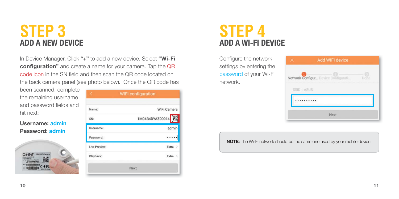## **STEP 3 ADD A NEW DEVICE**

In Device Manager, Click **"+"** to add a new device. Select **"Wi-Fi configuration**" and create a name for your camera. Tap the QR code icon in the SN field and then scan the OR code located on the back camera panel (see photo below). Once the QR code has

been scanned, complete the remaining username and password fields and hit next:

### **Username: admin Password: admin**



|               | <b>WIFI configuration</b> |
|---------------|---------------------------|
| Name:         | WiFi Camera               |
| SN:           | 噩<br>1M04B4DYAZ00014      |
| Username:     | admin                     |
| Password:     |                           |
| Live Preview: | Extra<br>$\rightarrow$    |
| Playback:     | Extra<br>$\,$             |
|               | Next                      |

## **STEP 4 ADD A WI-FI DEVICE**

Configure the network settings by entering the password of your Wi-Fi network.

|             | Add WIFI device                     |      |
|-------------|-------------------------------------|------|
|             | Network Configur Device Configurati | Dome |
| SSID : ASUS |                                     |      |
|             |                                     |      |
|             | Next                                |      |

**NOTE:** The Wi-Fi network should be the same one used by your mobile device.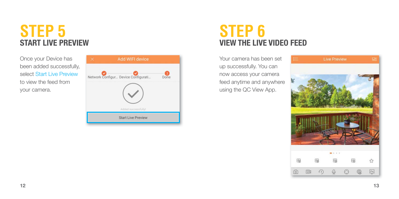## **STEP 5 START LIVE PREVIEW**

Once your Device has been added successfully, select Start Live Preview to view the feed from your camera.



## **STEP 6 VIEW THE LIVE VIDEO FEED**

Your camera has been set up successfully. You can now access your camera feed anytime and anywhere using the QC View App.

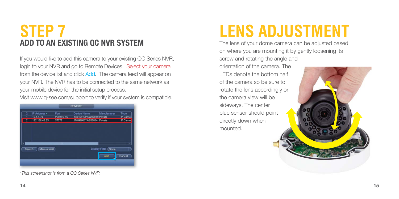## **STEP 7 ADD TO AN EXISTING QC NVR SYSTEM**

If you would like to add this camera to your existing QC Series NVR, login to your NVR and go to Remote Devices. Select your camera from the device list and click Add. The camera feed will appear on your NVR. The NVR has to be connected to the same network as your mobile device for the initial setup process.

Visit www.q-see.com/support to verify if your system is compatible.

|        |                                         |                                  | <b>REMOTE</b>                                                     |                             |                                    |
|--------|-----------------------------------------|----------------------------------|-------------------------------------------------------------------|-----------------------------|------------------------------------|
| 2<br>2 | IP Address -<br>101179<br>192.168.43.23 | Port<br><b>PORTS 15</b><br>37777 | Device Name<br>1A01DFCPAW00019 Private<br>1M04B4DYAZ00014 Private | Manufacturer                | Type<br><b>IP Camer</b><br>IP Came |
|        | (Manual Add)<br><b>Search</b>           |                                  |                                                                   | Display Filter (None<br>Add | Cancel                             |

*\*This screenshot is from a QC Series NVR.*

## **LENS ADJUSTMENT**

The lens of your dome camera can be adjusted based on where you are mounting it by gently loosening its screw and rotating the angle and orientation of the camera. The LEDs denote the bottom half of the camera so be sure to rotate the lens accordingly or the camera view will be sideways. The center blue sensor should point directly down when mounted.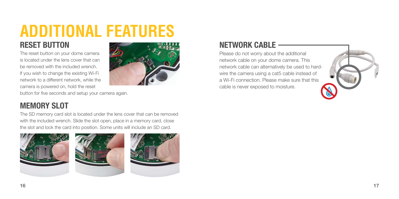# **ADDITIONAL FEATURES**

## **RESET BUTTON**

The reset button on your dome camera is located under the lens cover that can be removed with the included wrench. If you wish to change the existing Wi-Fi network to a different network, while the camera is powered on, hold the reset



button for five seconds and setup your camera again.

## **MEMORY SLOT**

The SD memory card slot is located under the lens cover that can be removed with the included wrench. Slide the slot open, place in a memory card, close the slot and lock the card into position. Some units will include an SD card.



## **NETWORK CABLE**

Please do not worry about the additional network cable on your dome camera. This network cable can alternatively be used to hardwire the camera using a cat5 cable instead of a Wi-Fi connection. Please make sure that this cable is never exposed to moisture.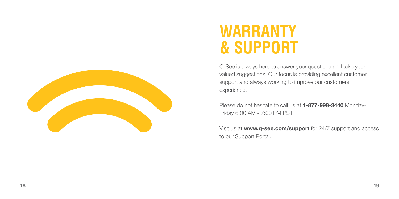

## **WARRANTY & SUPPORT**

Q-See is always here to answer your questions and take your valued suggestions. Our focus is providing excellent customer support and always working to improve our customers' experience.

Please do not hesitate to call us at **1-877-998-3440** Monday- Friday 6:00 AM - 7:00 PM PST.

Visit us at **www.q-see.com/support** for 24/7 support and access to our Support Portal.